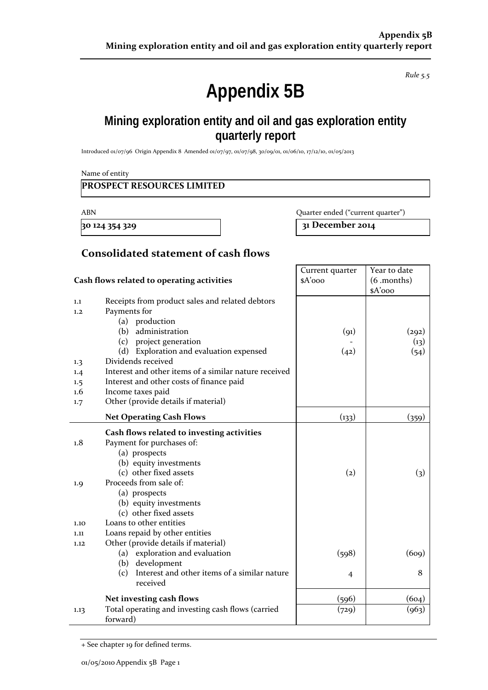*Rule 5.5*

# **Appendix 5B**

## **Mining exploration entity and oil and gas exploration entity quarterly report**

Introduced 01/07/96 Origin Appendix 8 Amended 01/07/97, 01/07/98, 30/09/01, 01/06/10, 17/12/10, 01/05/2013

Name of entity

#### **PROSPECT RESOURCES LIMITED**

ABN Quarter ended ("current quarter")

**30 124 354 329 31 December 2014**

### **Consolidated statement of cash flows**

|                                            |                                                                             | Current quarter   | Year to date          |
|--------------------------------------------|-----------------------------------------------------------------------------|-------------------|-----------------------|
| Cash flows related to operating activities |                                                                             | $A'$ ooo          | $(6 \text{ .months})$ |
| 1.1<br>1.2                                 | Receipts from product sales and related debtors<br>Payments for             |                   | \$A'ooo               |
|                                            | (a) production                                                              |                   |                       |
|                                            | administration<br>(b)                                                       | (91)              | (292)                 |
|                                            | (c) project generation                                                      |                   | (13)                  |
|                                            | (d) Exploration and evaluation expensed                                     | (42)              | (54)                  |
| 1.3                                        | Dividends received<br>Interest and other items of a similar nature received |                   |                       |
| 1.4<br>1.5                                 | Interest and other costs of finance paid                                    |                   |                       |
| 1.6                                        | Income taxes paid                                                           |                   |                       |
| 1.7                                        | Other (provide details if material)                                         |                   |                       |
|                                            | <b>Net Operating Cash Flows</b>                                             | (133)             | (359)                 |
|                                            | Cash flows related to investing activities                                  |                   |                       |
| 1.8                                        | Payment for purchases of:                                                   |                   |                       |
|                                            | (a) prospects                                                               |                   |                       |
|                                            | (b) equity investments                                                      |                   |                       |
|                                            | (c) other fixed assets                                                      | $\left( 2\right)$ | $\left( 3\right)$     |
| 1.9                                        | Proceeds from sale of:                                                      |                   |                       |
|                                            | (a) prospects                                                               |                   |                       |
|                                            | (b) equity investments                                                      |                   |                       |
|                                            | (c) other fixed assets                                                      |                   |                       |
| 1.10                                       | Loans to other entities                                                     |                   |                       |
| 1.11                                       | Loans repaid by other entities<br>Other (provide details if material)       |                   |                       |
| 1.12                                       | (a) exploration and evaluation                                              | (598)             | (609)                 |
|                                            | (b) development                                                             |                   |                       |
|                                            | Interest and other items of a similar nature<br>(c)<br>received             | 4                 | 8                     |
|                                            | Net investing cash flows                                                    | (596)             | (604)                 |
| 1.13                                       | Total operating and investing cash flows (carried<br>forward)               | (729)             | (963)                 |

+ See chapter 19 for defined terms.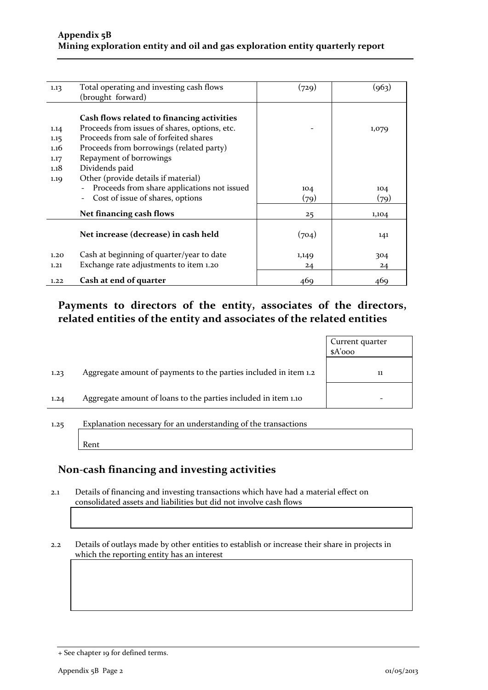| 1.13 | Total operating and investing cash flows                                | (729) | (963) |
|------|-------------------------------------------------------------------------|-------|-------|
|      | (brought forward)                                                       |       |       |
|      |                                                                         |       |       |
|      | Cash flows related to financing activities                              |       |       |
| 1.14 | Proceeds from issues of shares, options, etc.                           |       | 1,079 |
| 1.15 | Proceeds from sale of forfeited shares                                  |       |       |
| 1.16 | Proceeds from borrowings (related party)                                |       |       |
| 1.17 | Repayment of borrowings                                                 |       |       |
| 1.18 | Dividends paid                                                          |       |       |
| 1.19 | Other (provide details if material)                                     |       |       |
|      | Proceeds from share applications not issued<br>$\overline{\phantom{a}}$ | 104   | 104   |
|      | Cost of issue of shares, options<br>$\overline{\phantom{a}}$            | (79)  | (79)  |
|      | Net financing cash flows                                                | 25    | 1,104 |
|      |                                                                         |       |       |
|      | Net increase (decrease) in cash held                                    | (704) | 141   |
|      |                                                                         |       |       |
| 1.20 | Cash at beginning of quarter/year to date                               | 1,149 | 304   |
| 1,21 | Exchange rate adjustments to item 1.20                                  | 24    | 24    |
| 1.22 | Cash at end of quarter                                                  | 469   | 469   |
|      |                                                                         |       |       |

### **Payments to directors of the entity, associates of the directors, related entities of the entity and associates of the related entities**

|                                                                          | Current quarter<br>$A'$ ooo |
|--------------------------------------------------------------------------|-----------------------------|
| Aggregate amount of payments to the parties included in item 1.2<br>1.23 | 11                          |
| Aggregate amount of loans to the parties included in item 1.10<br>1.24   | -                           |

1.25 Explanation necessary for an understanding of the transactions

Rent

### **Non‐cash financing and investing activities**

2.1 Details of financing and investing transactions which have had a material effect on consolidated assets and liabilities but did not involve cash flows

2.2 Details of outlays made by other entities to establish or increase their share in projects in which the reporting entity has an interest

<sup>+</sup> See chapter 19 for defined terms.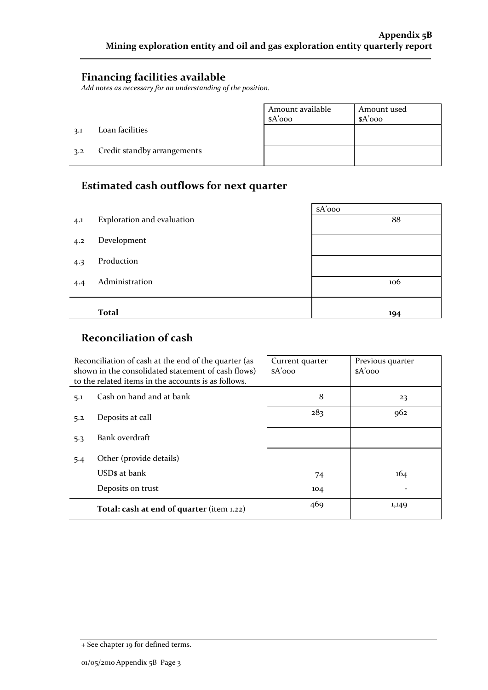#### **Financing facilities available**

*Add notes as necessary for an understanding of the position.*

|     |                             | Amount available<br>$A'$ 000 | Amount used<br>$A'$ 000 |
|-----|-----------------------------|------------------------------|-------------------------|
| 3.1 | Loan facilities             |                              |                         |
| 3.2 | Credit standby arrangements |                              |                         |

## **Estimated cash outflows for next quarter**

|     |                            | $A'$ 000 |
|-----|----------------------------|----------|
| 4.1 | Exploration and evaluation | 88       |
| 4.2 | Development                |          |
| 4.3 | Production                 |          |
| 4.4 | Administration             | 106      |
|     |                            |          |
|     | <b>Total</b>               | 194      |

## **Reconciliation of cash**

|     | Reconciliation of cash at the end of the quarter (as<br>shown in the consolidated statement of cash flows)<br>to the related items in the accounts is as follows. | Current quarter<br>$A'$ 000 | Previous quarter<br>$A'$ 000 |
|-----|-------------------------------------------------------------------------------------------------------------------------------------------------------------------|-----------------------------|------------------------------|
| 5.1 | Cash on hand and at bank                                                                                                                                          | 8                           | 23                           |
| 5.2 | Deposits at call                                                                                                                                                  | 283                         | 962                          |
| 5.3 | Bank overdraft                                                                                                                                                    |                             |                              |
| 5.4 | Other (provide details)                                                                                                                                           |                             |                              |
|     | USDs at bank                                                                                                                                                      | 74                          | 164                          |
|     | Deposits on trust                                                                                                                                                 | 104                         |                              |
|     | Total: cash at end of quarter (item 1.22)                                                                                                                         | 469                         | 1,149                        |

<sup>+</sup> See chapter 19 for defined terms.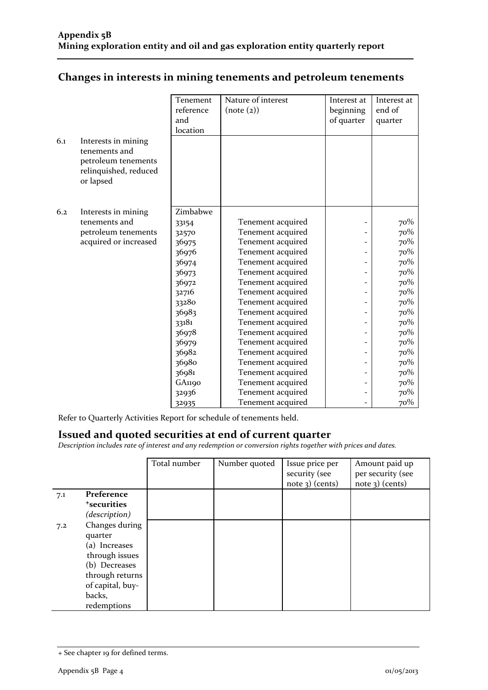|     |                                                                                                   | Tenement<br>reference<br>and<br>location | Nature of interest<br>(note (2)) | Interest at<br>beginning<br>of quarter | Interest at<br>end of<br>quarter |
|-----|---------------------------------------------------------------------------------------------------|------------------------------------------|----------------------------------|----------------------------------------|----------------------------------|
| 6.1 | Interests in mining<br>tenements and<br>petroleum tenements<br>relinquished, reduced<br>or lapsed |                                          |                                  |                                        |                                  |
| 6.2 |                                                                                                   | Zimbabwe                                 |                                  |                                        |                                  |
|     | Interests in mining<br>tenements and                                                              | 33154                                    | Tenement acquired                |                                        | 70%                              |
|     | petroleum tenements                                                                               | 32570                                    | Tenement acquired                |                                        | 70%                              |
|     | acquired or increased                                                                             | 36975                                    | Tenement acquired                |                                        | 70%                              |
|     |                                                                                                   | 36976                                    | Tenement acquired                |                                        | 70%                              |
|     |                                                                                                   | 36974                                    | Tenement acquired                |                                        | 70%                              |
|     |                                                                                                   | 36973                                    | Tenement acquired                |                                        | 70%                              |
|     |                                                                                                   | 36972                                    | Tenement acquired                |                                        | 70%                              |
|     |                                                                                                   | 32716                                    | Tenement acquired                |                                        | 70%                              |
|     |                                                                                                   | 33280                                    | Tenement acquired                |                                        | 70%                              |
|     |                                                                                                   | 36983                                    | Tenement acquired                |                                        | 70%                              |
|     |                                                                                                   | 33181                                    | Tenement acquired                |                                        | 70%                              |
|     |                                                                                                   | 36978                                    | Tenement acquired                |                                        | 70%                              |
|     |                                                                                                   | 36979                                    | Tenement acquired                |                                        | 70%                              |
|     |                                                                                                   | 36982                                    | Tenement acquired                |                                        | 70%                              |
|     |                                                                                                   | 36980                                    | Tenement acquired                |                                        | 70%                              |
|     |                                                                                                   | 36981                                    | Tenement acquired                |                                        | 70%                              |
|     |                                                                                                   | GA1190                                   | Tenement acquired                |                                        | 70%                              |
|     |                                                                                                   | 32936                                    | Tenement acquired                |                                        | 70%                              |
|     |                                                                                                   | 32935                                    | Tenement acquired                |                                        | 70%                              |

## **Changes in interests in mining tenements and petroleum tenements**

Refer to Quarterly Activities Report for schedule of tenements held.

#### **Issued and quoted securities at end of current quarter**

*Description includes rate of interest and any redemption or conversion rights together with prices and dates.*

|     |                         | Total number | Number quoted | Issue price per<br>security (see<br>$note$ 3) (cents) | Amount paid up<br>per security (see<br>$note$ 3) (cents) |
|-----|-------------------------|--------------|---------------|-------------------------------------------------------|----------------------------------------------------------|
| 7.1 | Preference              |              |               |                                                       |                                                          |
|     | <sup>+</sup> securities |              |               |                                                       |                                                          |
|     | (description)           |              |               |                                                       |                                                          |
| 7.2 | Changes during          |              |               |                                                       |                                                          |
|     | quarter                 |              |               |                                                       |                                                          |
|     | (a) Increases           |              |               |                                                       |                                                          |
|     | through issues          |              |               |                                                       |                                                          |
|     | (b) Decreases           |              |               |                                                       |                                                          |
|     | through returns         |              |               |                                                       |                                                          |
|     | of capital, buy-        |              |               |                                                       |                                                          |
|     | backs,                  |              |               |                                                       |                                                          |
|     | redemptions             |              |               |                                                       |                                                          |

<sup>+</sup> See chapter 19 for defined terms.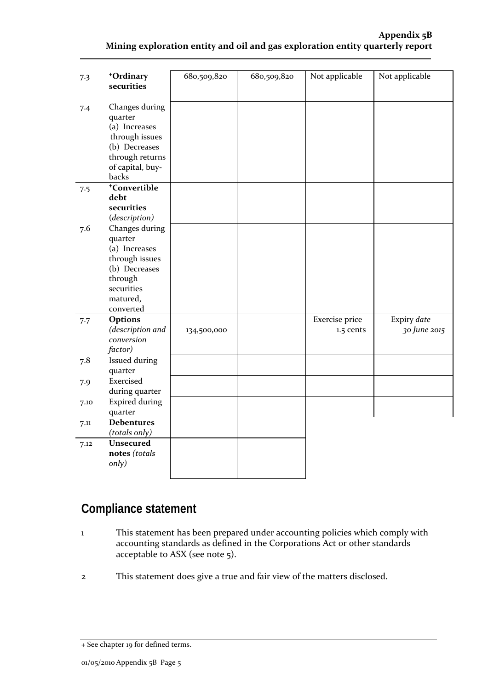#### **Appendix 5B Mining exploration entity and oil and gas exploration entity quarterly report**

| 7.3  | +Ordinary<br>securities                                                                                                         | 680,509,820 | 680,509,820 | Not applicable              | Not applicable              |
|------|---------------------------------------------------------------------------------------------------------------------------------|-------------|-------------|-----------------------------|-----------------------------|
| 7.4  | Changes during<br>quarter<br>(a) Increases<br>through issues<br>(b) Decreases<br>through returns<br>of capital, buy-<br>backs   |             |             |                             |                             |
| 7.5  | <sup>+</sup> Convertible<br>debt<br>securities<br>(description)                                                                 |             |             |                             |                             |
| 7.6  | Changes during<br>quarter<br>(a) Increases<br>through issues<br>(b) Decreases<br>through<br>securities<br>matured,<br>converted |             |             |                             |                             |
| 7.7  | Options<br>(description and<br>conversion<br>factor)                                                                            | 134,500,000 |             | Exercise price<br>1.5 cents | Expiry date<br>30 June 2015 |
| 7.8  | <b>Issued during</b><br>quarter                                                                                                 |             |             |                             |                             |
| 7.9  | Exercised<br>during quarter                                                                                                     |             |             |                             |                             |
| 7.10 | <b>Expired during</b><br>quarter                                                                                                |             |             |                             |                             |
| 7.11 | <b>Debentures</b><br>(totals only)                                                                                              |             |             |                             |                             |
| 7.12 | Unsecured<br>notes (totals<br>only)                                                                                             |             |             |                             |                             |

# **Compliance statement**

- 1 This statement has been prepared under accounting policies which comply with accounting standards as defined in the Corporations Act or other standards acceptable to ASX (see note 5).
- 2 This statement does give a true and fair view of the matters disclosed.

<sup>+</sup> See chapter 19 for defined terms.